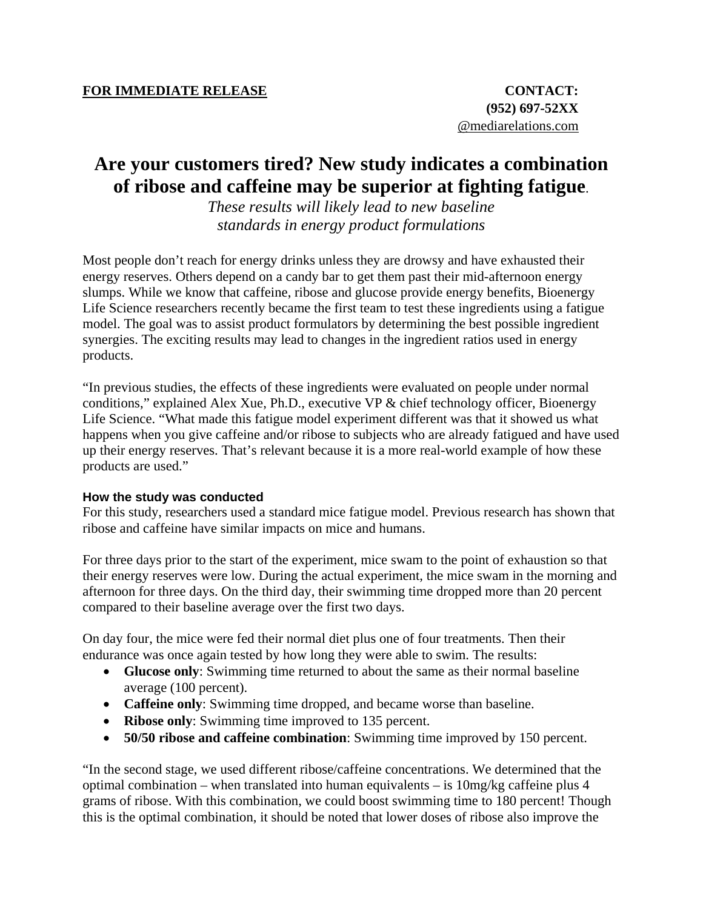## **Are your customers tired? New study indicates a combination of ribose and caffeine may be superior at fighting fatigue**.

*These results will likely lead to new baseline standards in energy product formulations* 

Most people don't reach for energy drinks unless they are drowsy and have exhausted their energy reserves. Others depend on a candy bar to get them past their mid-afternoon energy slumps. While we know that caffeine, ribose and glucose provide energy benefits, Bioenergy Life Science researchers recently became the first team to test these ingredients using a fatigue model. The goal was to assist product formulators by determining the best possible ingredient synergies. The exciting results may lead to changes in the ingredient ratios used in energy products.

"In previous studies, the effects of these ingredients were evaluated on people under normal conditions," explained Alex Xue, Ph.D., executive VP & chief technology officer, Bioenergy Life Science. "What made this fatigue model experiment different was that it showed us what happens when you give caffeine and/or ribose to subjects who are already fatigued and have used up their energy reserves. That's relevant because it is a more real-world example of how these products are used."

## **How the study was conducted**

For this study, researchers used a standard mice fatigue model. Previous research has shown that ribose and caffeine have similar impacts on mice and humans.

For three days prior to the start of the experiment, mice swam to the point of exhaustion so that their energy reserves were low. During the actual experiment, the mice swam in the morning and afternoon for three days. On the third day, their swimming time dropped more than 20 percent compared to their baseline average over the first two days.

On day four, the mice were fed their normal diet plus one of four treatments. Then their endurance was once again tested by how long they were able to swim. The results:

- **Glucose only**: Swimming time returned to about the same as their normal baseline average (100 percent).
- **Caffeine only**: Swimming time dropped, and became worse than baseline.
- **Ribose only:** Swimming time improved to 135 percent.
- **50/50 ribose and caffeine combination**: Swimming time improved by 150 percent.

"In the second stage, we used different ribose/caffeine concentrations. We determined that the optimal combination – when translated into human equivalents – is  $10mg/kg$  caffeine plus 4 grams of ribose. With this combination, we could boost swimming time to 180 percent! Though this is the optimal combination, it should be noted that lower doses of ribose also improve the